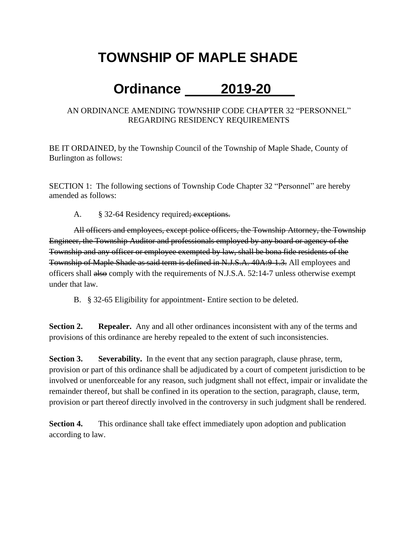## **TOWNSHIP OF MAPLE SHADE**

## **Ordinance 2019-20**

## AN ORDINANCE AMENDING TOWNSHIP CODE CHAPTER 32 "PERSONNEL" REGARDING RESIDENCY REQUIREMENTS

BE IT ORDAINED, by the Township Council of the Township of Maple Shade, County of Burlington as follows:

SECTION 1: The following sections of Township Code Chapter 32 "Personnel" are hereby amended as follows:

A. § 32-64 Residency required; exceptions.

All officers and employees, except police officers, the Township Attorney, the Township Engineer, the Township Auditor and professionals employed by any board or agency of the Township and any officer or employee exempted by law, shall be bona fide residents of the Township of Maple Shade as said term is defined in N.J.S.A. 40A:9-1.3. All employees and officers shall also comply with the requirements of N.J.S.A. 52:14-7 unless otherwise exempt under that law.

B. § 32-65 Eligibility for appointment- Entire section to be deleted.

**Section 2. Repealer.** Any and all other ordinances inconsistent with any of the terms and provisions of this ordinance are hereby repealed to the extent of such inconsistencies.

**Section 3. Severability.** In the event that any section paragraph, clause phrase, term, provision or part of this ordinance shall be adjudicated by a court of competent jurisdiction to be involved or unenforceable for any reason, such judgment shall not effect, impair or invalidate the remainder thereof, but shall be confined in its operation to the section, paragraph, clause, term, provision or part thereof directly involved in the controversy in such judgment shall be rendered.

**Section 4.** This ordinance shall take effect immediately upon adoption and publication according to law.